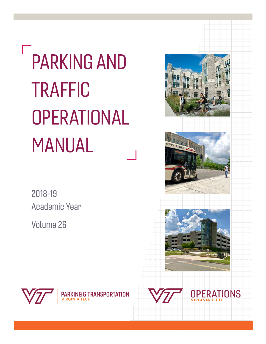# PARKING AND TRAFFIC **OPERATIONAL** MANUAL

2018-19 Academic Year

Volume 26









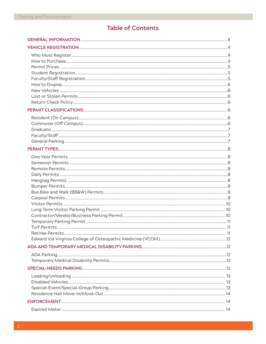# **Table of Contents**

| .14 |
|-----|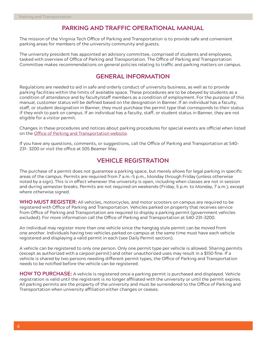# **PARKING AND TRAFFIC OPERATIONAL MANUAL**

The mission of the Virginia Tech Office of Parking and Transportation is to provide safe and convenient parking areas for members of the university community and guests.

The university president has appointed an advisory committee, comprised of students and employees, tasked with overview of Office of Parking and Transportation. The Office of Parking and Transportation Committee makes recommendations on general policies relating to traffic and parking matters on campus.

# **GENERAL INFORMATION**

Regulations are needed to aid in safe and orderly conduct of university business, as well as to provide parking facilities within the limits of available space. These procedures are to be obeyed by students as a condition of attendance and by faculty/staff members as a condition of employment. For the purpose of this manual, customer status will be defined based on the designation in Banner. If an individual has a faculty, staff, or student designation in Banner, they must purchase the permit type that corresponds to their status if they wish to park on campus. If an individual has a faculty, staff, or student status in Banner, they are not eligible for a visitor permit.

Changes in these procedures and notices about parking procedures for special events are official when listed on the Office of Parking and Transportation website.

If you have any questions, comments, or suggestions, call the Office of Parking and Transportation at 540- 231- 3200 or visit the office at 505 Beamer Way.

# **VEHICLE REGISTRATION**

The purchase of a permit does not guarantee a parking space, but merely allows for legal parking in specific areas of the campus. Permits are required from 7 a.m.-5 p.m., Monday through Friday (unless otherwise noted by a sign). This is in effect whenever the university is open, including when classes are not in session and during semester breaks. Permits are not required on weekends (Friday, 5 p.m. to Monday, 7 a.m.), except where otherwise signed.

**WHO MUST REGISTER:** All vehicles, motorcycles, and motor scooters on campus are required to be registered with Office of Parking and Transportation. Vehicles parked on property that receives service from Office of Parking and Transportation are required to display a parking permit (government vehicles excluded). For more information call the Office of Parking and Transportation at 540-231-3200.

An individual may register more than one vehicle since the hangtag style permit can be moved from one another. Individuals having two vehicles parked on campus at the same time must have each vehicle registered and displaying a valid permit in each (see Daily Permit section).

A vehicle can be registered to only one person. Only one permit type per vehicle is allowed. Sharing permits (except as authorized with a carpool permit) and other unauthorized uses may result in a \$150 fine. If a vehicle is shared by two persons needing different permit types, the Office of Parking and Transportation needs to be notified before the vehicle can be registered.

**HOW TO PURCHASE:** A vehicle is registered once a parking permit is purchased and displayed. Vehicle registration is valid until the registrant is no longer affiliated with the university or until the permit expires. All parking permits are the property of the university and must be surrendered to the Office of Parking and Transportation when university affiliation either changes or ceases.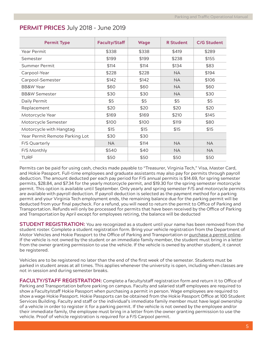# **PERMIT PRICES** July 2018 – June 2019

| <b>Permit Type</b>             | <b>Faculty/Staff</b> | Wage  | <b>R</b> Student | <b>C/G Student</b> |
|--------------------------------|----------------------|-------|------------------|--------------------|
| Year Permit                    | \$338                | \$338 | \$419            | \$289              |
| Semester                       | \$199                | \$199 | \$238            | \$155              |
| Summer Permit                  | \$114                | \$114 | \$134            | \$83               |
| Carpool-Year                   | \$228                | \$228 | <b>NA</b>        | \$194              |
| Carpool-Semester               | \$142                | \$142 | <b>NA</b>        | \$106              |
| <b>BB&amp;W Year</b>           | \$60                 | \$60  | <b>NA</b>        | \$60               |
| <b>BB&amp;W Semester</b>       | \$30                 | \$30  | NA.              | \$30               |
| Daily Permit                   | \$5                  | \$5   | \$5              | \$5                |
| Replacement                    | \$20                 | \$20  | \$20             | \$20               |
| Motorcycle Year                | \$169                | \$169 | \$210            | \$145              |
| Motorcycle Semester            | \$100                | \$100 | \$119            | \$80               |
| Motorcycle with Hangtag        | \$15                 | \$15  | \$15             | \$15               |
| Year Permit Remote Parking Lot | \$30                 | \$30  |                  |                    |
| F/S Quarterly                  | <b>NA</b>            | \$114 | NA.              | <b>NA</b>          |
| F/S Monthly                    | \$540                | \$40  | <b>NA</b>        | <b>NA</b>          |
| <b>TURF</b>                    | \$50                 | \$50  | \$50             | \$50               |

Permits can be paid for using cash, checks made payable to "Treasurer, Virginia Tech," Visa, Master Card, and Hokie Passport. Full-time employees and graduate assistants may also pay for permits through payroll deduction. The amount deducted per each pay period for F/S annual permits is \$14.69, for spring semester permits, \$28.84, and \$7.34 for the yearly motorcycle permit, and \$19.30 for the spring semester motorcycle permit. This option is available until September. Only yearly and spring semester F/S and motorcycle permits are available with payroll deduction. If payroll deduction is selected as the payment method for a parking permit and your Virginia Tech employment ends, the remaining balance due for the parking permit will be deducted from your final paycheck. For a refund, you will need to return the permit to Office of Parking and Transportation. Refunds will only be processed for permits that have been received by the Office of Parking and Transportation by April except for employees retiring, the balance will be deducted

**STUDENT REGISTRATION:** You are recognized as a student until your name has been removed from the student roster. Complete a student registration form. Bring your vehicle registration from the Department of Motor Vehicles and Hokie Passport to the Office of Parking and Transportation or purchase a permit online. If the vehicle is not owned by the student or an immediate family member, the student must bring in a letter from the owner granting permission to use the vehicle. If the vehicle is owned by another student, it cannot be registered.

Vehicles are to be registered no later than the end of the first week of the semester. Students must be parked in student areas at all times. This applies whenever the university is open, including when classes are not in session and during semester breaks.

**FACULTY/STAFF REGISTRATION:** Complete a faculty/staff registration form and return it to Office of Parking and Transportation before parking on campus. Faculty and salaried staff employees are required to show a Faculty/staff Hokie Passport when purchasing a permit in person. Wage employees are required to show a wage Hokie Passport. Hokie Passports can be obtained from the Hokie Passport Office at 100 Student Services Building. Faculty and staff or the individual's immediate family member must have legal ownership of a vehicle in order to register it for a parking permit. If the vehicle is not owned by the employee and/or their immediate family, the employee must bring in a letter from the owner granting permission to use the vehicle. Proof of vehicle registration is required for a F/S Carpool permit.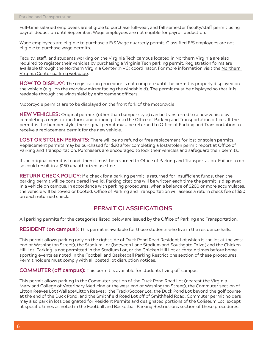Full-time salaried employees are eligible to purchase full-year, and fall semester faculty/staff permit using payroll deduction until September. Wage employees are not eligible for payroll deduction.

Wage employees are eligible to purchase a F/S Wage quarterly permit. Classified F/S employees are not eligible to purchase wage permits.

Faculty, staff, and students working on the Virginia Tech campus located in Northern Virginia are also required to register their vehicles by purchasing a Virginia Tech parking permit. Registration forms are available through the Northern Virginia Center (NVC) coordinator. For more information visit the Northern Virginia Center parking webpage.

**HOW TO DISPLAY:** The registration procedure is not complete until the permit is properly displayed on the vehicle (e.g., on the rearview mirror facing the windshield). The permit must be displayed so that it is readable through the windshield by enforcement officers.

Motorcycle permits are to be displayed on the front fork of the motorcycle.

**NEW VEHICLES:** Original permits (other than bumper style) can be transferred to a new vehicle by completing a registration form, and bringing it into the Office of Parking and Transportation offices. If the permit is the bumper style, the original permit must be returned to Office of Parking and Transportation to receive a replacement permit for the new vehicle.

**LOST OR STOLEN PERMITS:** There will be no refund or free replacement for lost or stolen permits. Replacement permits may be purchased for \$20 after completing a lost/stolen permit report at Office of Parking and Transportation. Purchasers are encouraged to lock their vehicles and safeguard their permits.

If the original permit is found, then it must be returned to Office of Parking and Transportation. Failure to do so could result in a \$150 unauthorized use fine.

**RETURN CHECK POLICY:** If a check for a parking permit is returned for insufficient funds, then the parking permit will be considered invalid. Parking citations will be written each time the permit is displayed in a vehicle on campus. In accordance with parking procedures, when a balance of \$200 or more accumulates, the vehicle will be towed or booted. Office of Parking and Transportation will assess a return check fee of \$50 on each returned check.

# **PERMIT CLASSIFICATIONS**

All parking permits for the categories listed below are issued by the Office of Parking and Transportation.

**RESIDENT (on campus):** This permit is available for those students who live in the residence halls.

This permit allows parking only on the right side of Duck Pond Road Resident Lot which is the lot at the west end of Washington Street), the Stadium Lot (between Lane Stadium and Southgate Drive) and the Chicken Hill Lot. Parking is not permitted in the Stadium Lot, or the Chicken Hill Lot at certain times before home sporting events as noted in the Football and Basketball Parking Restrictions section of these procedures. Permit holders must comply with all posted lot disruption notices.

**COMMUTER (off campus):** This permit is available for students living off campus.

This permit allows parking in the Commuter section of the Duck Pond Road Lot (nearest the Virginia-Maryland College of Veterinary Medicine at the west end of Washington Street), the Commuter section of Litton Reaves Lot (Wallace/Litton Reaves), the Track/Soccer Lot, the Duck Pond Lot beyond the golf course at the end of the Duck Pond, and the Smithfield Road Lot off of Smithfield Road. Commuter permit holders may also park in lots designated for Resident Permits and designated portions of the Coliseum Lot, except at specific times as noted in the Football and Basketball Parking Restrictions section of these procedures.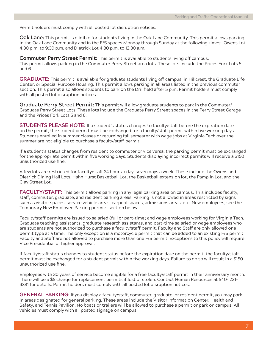Permit holders must comply with all posted lot disruption notices.

**Oak Lane:** This permit is eligible for students living in the Oak Lane Community. This permit allows parking in the Oak Lane Community and in the F/S spaces Monday through Sunday at the following times: Owens Lot 4:30 p.m. to 9:30 p.m. and Dietrick Lot 4:30 p.m. to 12:30 a.m.

**Commuter Perry Street Permit:** This permit is available to students living off campus. This permit allows parking in the Commuter Perry Street area lots. These lots include the Prices Fork Lots 5 and 6.

**GRADUATE:** This permit is available for graduate students living off campus, in Hillcrest, the Graduate Life Center, or Special Purpose Housing. This permit allows parking in all areas listed in the previous commuter section. This permit also allows students to park on the Drillfield after 5 p.m. Permit holders must comply with all posted lot disruption notices.

**Graduate Perry Street Permit:** This permit will allow graduate students to park in the Commuter/ Graduate Perry Street Lots. These lots include the Graduate Perry Street spaces in the Perry Street Garage and the Prices Fork Lots 5 and 6.

**STUDENTS PLEASE NOTE:** If a student's status changes to faculty/staff before the expiration date on the permit, the student permit must be exchanged for a faculty/staff permit within five working days. Students enrolled in summer classes or returning fall semester with wage jobs at Virginia Tech over the summer are not eligible to purchase a faculty/staff permit.

If a student's status changes from resident to commuter or vice versa, the parking permit must be exchanged for the appropriate permit within five working days. Students displaying incorrect permits will receive a \$150 unauthorized use fine.

A few lots are restricted for faculty/staff 24 hours a day, seven days a week. These include the Owens and Dietrick Dining Hall Lots, Hahn Hurst Basketball Lot, the Basketball extension lot, the Pamplin Lot, and the Clay Street Lot.

**FACULTY/STAFF:** This permit allows parking in any legal parking area on campus. This includes faculty, staff, commuter, graduate, and resident parking areas. Parking is not allowed in areas restricted by signs such as visitor spaces, service vehicle areas, carpool spaces, admissions areas, etc. New employees, see the Temporary New Employee Parking permits section below.

Faculty/staff permits are issued to salaried (full or part-time) and wage employees working for Virginia Tech. Graduate teaching assistants, graduate research assistants, and part-time salaried or wage employees who are students are not authorized to purchase a faculty/staff permit. Faculty and Staff are only allowed one permit type at a time. The only exception is a motorcycle permit that can be added to an existing F/S permit. Faculty and Staff are not allowed to purchase more than one F/S permit. Exceptions to this policy will require Vice Presidential or higher approval.

If faculty/staff status changes to student status before the expiration date on the permit, the faculty/staff permit must be exchanged for a student permit within five working days. Failure to do so will result in a \$150 unauthorized use fine.

Employees with 30 years of service become eligible for a free faculty/staff permit in their anniversary month. There will be a \$5 charge for replacement permits if lost or stolen. Contact Human Resources at 540- 231- 9331 for details. Permit holders must comply with all posted lot disruption notices.

**GENERAL PARKING:** If you display a faculty/staff, commuter, graduate, or resident permit, you may park in areas designated for general parking. These areas include the Visitor Information Center, Health and Safety, and Tennis Pavilion. No boats or trailers will be allowed to purchase a permit or park on campus. All vehicles must comply with all posted signage on campus.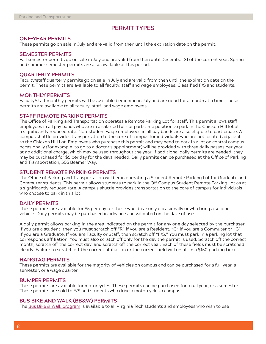# **PERMIT TYPES**

#### **ONE-YEAR PERMITS**

These permits go on sale in July and are valid from then until the expiration date on the permit.

#### **SEMESTER PERMITS**

Fall semester permits go on sale in July and are valid from then until December 31 of the current year. Spring and summer semester permits are also available at this period.

#### **QUARTERLY PERMITS**

Faculty/staff quarterly permits go on sale in July and are valid from then until the expiration date on the permit. These permits are available to all faculty, staff and wage employees. Classified F/S and students.

#### **MONTHLY PERMITS**

Faculty/staff monthly permits will be available beginning in July and are good for a month at a time. These permits are available to all faculty, staff, and wage employees.

#### **STAFF REMOTE PARKING PERMITS**

The Office of Parking and Transportation operates a Remote Parking Lot for staff. This permit allows staff employees in all pay bands who are in a salaried full- or part-time position to park in the Chicken Hill lot at a significantly reduced rate. Non-student wage employees in all pay bands are also eligible to participate. A campus shuttle provides transportation to the core of campus for individuals who are not located adjacent to the Chicken Hill Lot. Employees who purchase this permit and may need to park in a lot on central campus occasionally (for example, to go to a doctor's appointment) will be provided with three daily passes per year at no additional charge, which may be used throughout the year. If additional daily permits are needed, they may be purchased for \$5 per day for the days needed. Daily permits can be purchased at the Office of Parking and Transportation, 505 Beamer Way.

#### **STUDENT REMOTE PARKING PERMITS**

The Office of Parking and Transportation will begin operating a Student Remote Parking Lot for Graduate and Commuter students. This permit allows students to park in the Off Campus Student Remote Parking Lot as at a significantly reduced rate. A campus shuttle provides transportation to the core of campus for individuals who choose to park in this lot.

#### **DAILY PERMITS**

These permits are available for \$5 per day for those who drive only occasionally or who bring a second vehicle. Daily permits may be purchased in advance and validated on the date of use.

A daily permit allows parking in the area indicated on the permit for any one day selected by the purchaser. If you are a student, then you must scratch off "R" if you are a Resident, "C" if you are a Commuter or "G" if you are a Graduate. If you are Faculty or Staff, then scratch off "F/S." You must park in a parking lot that corresponds affiliation. You must also scratch off only for the day the permit is used. Scratch off the correct month, scratch off the correct day, and scratch off the correct year. Each of these fields must be scratched clearly. Failure to scratch off the correct affiliation or the correct field will result in a \$150 parking ticket.

#### **HANGTAG PERMITS**

These permits are available for the majority of vehicles on campus and can be purchased for a full year, a semester, or a wage quarter.

#### **BUMPER PERMITS**

These permits are available for motorcycles. These permits can be purchased for a full year, or a semester. These permits are sold to F/S and students who drive a motorcycle to campus.

#### **BUS BIKE AND WALK (BB&W) PERMITS**

The Bus Bike & Walk program is available to all Virginia Tech students and employees who wish to use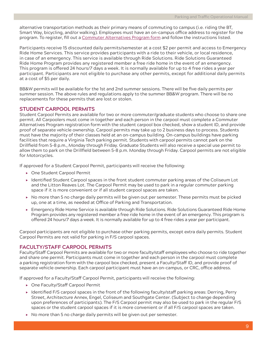alternative transportation methods as their primary means of commuting to campus (i.e. riding the BT, Smart Way, bicycling, and/or walking). Employees must have an on-campus office address to register for the program. To register, fill out a Commuter Alternatives Program form and follow the instructions listed.

Participants receive 15 discounted daily permits/semester at a cost \$2 per permit and access to Emergency Ride Home Services. This service provides participants with a ride to their vehicle, or local residence, in case of an emergency. This service is available through Ride Solutions. Ride Solutions Guaranteed Ride Home Program provides any registered member a free ride home in the event of an emergency. This program is offered 24 hours/7 days a week. It is normally available for up to 4 free rides a year per participant. Participants are not eligible to purchase any other permits, except for additional daily permits at a cost of \$5 per daily.

BB&W permits will be available for the 1st and 2nd summer sessions. There will be five daily permits per summer session. The above rules and regulations apply to the summer BB&W program. There will be no replacements for these permits that are lost or stolen.

## **STUDENT CARPOOL PERMITS**

Student Carpool Permits are available for two or more commuter/graduate students who choose to share one permit. All Carpoolers must come in together and each person in the carpool must complete a Commuter Alternatives Program registration form with the student carpool box checked, show a student ID, and provide proof of separate vehicle ownership. Carpool permits may take up to 2 business days to process. Students must have the majority of their classes held at an on-campus building. On-campus buildings have parking facilities that require a Virginia Tech parking permit. Students with carpool permits cannot park on the Drillfield from 5-8 p.m., Monday through Friday. Graduate Students will also receive a special use permit to allow them to park on the Drillfield between 5-8 p.m. Monday through Friday. Carpool permits are not eligible for Motorcycles.

If approved for a Student Carpool Permit, participants will receive the following:

- ▶ One Student Carpool Permit
- Identified Student Carpool spaces in the front student commuter parking areas of the Coliseum Lot and the Litton Reaves Lot. The Carpool Permit may be used to park in a regular commuter parking space if it is more convenient or if all student carpool spaces are taken.
- $\triangleright$  No more than 5 no charge daily permits will be given out per semester. These permits must be picked up, one at a time, as needed at Office of Parking and Transportation.
- Emergency Ride Home Service is available through Ride Solutions. Ride Solutions Guaranteed Ride Home Program provides any registered member a free ride home in the event of an emergency. This program is offered 24 hours/7 days a week. It is normally available for up to 4 free rides a year per participant.

Carpool participants are not eligible to purchase other parking permits, except extra daily permits. Student Carpool Permits are not valid for parking in F/S carpool spaces.

## **FACULTY/STAFF CARPOOL PERMITS**

Faculty/Staff Carpool Permits are available for two or more faculty/staff employees who choose to ride together and share one permit. Participants must come in together and each person in the carpool must complete a parking registration form with the carpool box checked, present a Faculty/Staff ID, and provide proof of separate vehicle ownership. Each carpool participant must have an on-campus, or CRC, office address.

If approved for a Faculty/Staff Carpool Permit, participants will receive the following:

- ▶ One Faculty/Staff Carpool Permit
- $\triangleright$  Identified F/S carpool spaces in the front of the following faculty/staff parking areas: Derring, Perry Street, Architecture Annex, Engel, Coliseum and Southgate Center. (Subject to change depending upon preferences of participants). The F/S Carpool permit may also be used to park in the regular F/S spaces or the student carpool spaces if it is more convenient or if all F/S carpool spaces are taken.
- ▶ No more than 5 no charge daily permits will be given out per semester.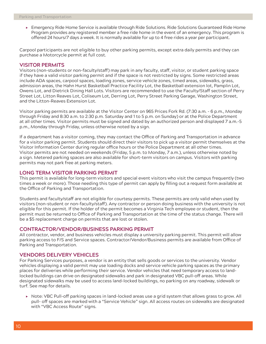Emergency Ride Home Service is available through Ride Solutions. Ride Solutions Guaranteed Ride Home Program provides any registered member a free ride home in the event of an emergency. This program is offered 24 hours/7 days a week. It is normally available for up to 4 free rides a year per participant.

Carpool participants are not eligible to buy other parking permits, except extra daily permits and they can purchase a Motorcycle permit at full cost.

#### **VISITOR PERMITS**

Visitors (non-students or non-faculty/staff) may park in any faculty, staff, visitor, or student parking space if they have a valid visitor parking permit and if the space is not restricted by signs. Some restricted areas include ADA spaces, carpool spaces, loading zones, service vehicle zones, timed areas, sidewalks, grass, admission areas, the Hahn Hurst Basketball Practice Facility Lot, the Basketball extension lot, Pamplin Lot, Owens Lot, and Dietrick Dining Hall Lots. Visitors are recommended to use the Faculty/Staff section of Perry Street Lot, Litton Reaves Lot, Coliseum Lot, Derring Lot, Perry Street Parking Garage, Washington Street, and the Litton-Reaves Extension Lot.

Visitor parking permits are available at the Visitor Center on 965 Prices Fork Rd. (7:30 a.m. - 6 p.m., Monday through Friday and 8:30 a.m. to 2:30 p.m. Saturday and 1 to 5 p.m. on Sunday) or at the Police Department at all other times. Visitor permits must be signed and dated by an authorized person and displayed 7 a.m.-5 p.m., Monday through Friday, unless otherwise noted by a sign.

If a department has a visitor coming, they may contact the Office of Parking and Transportation in advance for a visitor parking permit. Students should direct their visitors to pick up a visitor permit themselves at the Visitor Information Center during regular office hours or the Police Department at all other times. Visitor permits are not needed on weekends (Friday, 5 p.m. to Monday, 7 a.m.), unless otherwise noted by a sign. Metered parking spaces are also available for short-term visitors on campus. Visitors with parking permits may not park free at parking meters.

#### **LONG TERM VISITOR PARKING PERMIT**

This permit is available for long-term visitors and special event visitors who visit the campus frequently (two times a week or more). Those needing this type of permit can apply by filling out a request form available at the Office of Parking and Transportation.

Students and faculty/staff are not eligible for courtesy permits. These permits are only valid when used by visitors (non-student or non-faculty/staff). Any contractor or person doing business with the university is not eligible for this permit. If the holder of the permit becomes a Virginia Tech employee or student, then the permit must be returned to Office of Parking and Transportation at the time of the status change. There will be a \$5 replacement charge on permits that are lost or stolen.

#### **CONTRACTOR/VENDOR/BUSINESS PARKING PERMIT**

All contractor, vendor, and business vehicles must display a university parking permit. This permit will allow parking access to F/S and Service spaces. Contractor/Vendor/Business permits are available from Office of Parking and Transportation.

#### **VENDORS DELIVERY VEHICLES**

For Parking Services purposes, a vendor is an entity that sells goods or services to the university. Vendor vehicles displaying a valid permit may use loading docks and service vehicle parking spaces as the primary places for deliveries while performing their service. Vendor vehicles that need temporary access to landlocked buildings can drive on designated sidewalks and park in designated VBC pull-off areas. While designated sidewalks may be used to access land-locked buildings, no parking on any roadway, sidewalk or turf. See map for details.

▶ Note: VBC Pull-off parking spaces in land-locked areas use a grid system that allows grass to grow. All pull- off spaces are marked with a "Service Vehicle" sign. All access routes on sidewalks are designated with "VBC Access Route" signs.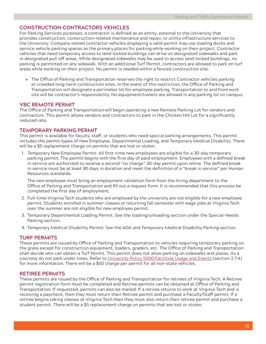## **CONSTRUCTION CONTRACTORS VEHICLES**

For Parking Services purposes, a contractor is defined as an entity, external to the University that provides construction, construction-related maintenance and repair, or utility infrastructure services to the University. Company owned contractor vehicles displaying a valid permit may use loading docks and service vehicle parking spaces as the primary places for parking while working on their project. Contractor vehicles that need temporary access to land-locked buildings can drive on designated sidewalks and park in designated pull-off areas. While designated sidewalks may be used to access land-locked buildings, no parking is permitted on any sidewalk. With an additional Turf Permit, contractors are allowed to park on turf areas while working on their project. No permit is needed within a fenced construction site.

 $\triangleright$  The Office of Parking and Transportation reserves the right to restrict Contractor vehicles parking at crowded long-term construction sites. In the event of this restriction, the Office of Parking and Transportation will designate a perimeter lot for employee parking. Transportation to and from work site will be contractor's responsibility. No equipment/trailers are allowed in any parking lot on campus.

## **VBC REMOTE PERMIT**

The Office of Parking and Transportation will begin operating a new Remote Parking Lot for vendors and contractors. This permit allows vendors and contractors to park in the Chicken Hill Lot for a significantly reduced rate.

### **TEMPORARY PARKING PERMIT**

This permit is available for faculty, staff, or students who need special parking arrangements. This permit includes the permit types of New Employee, Departmental Loading, and Temporary Medical Disability. There will be a \$5 replacement charge on permits that are lost or stolen.

1. Temporary New Employee Permit: All first-time new employees are eligible for a 30-day temporary parking permit. The permit begins with the first day of paid employment. Employees with a defined break in service are authorized to receive a second "no charge" 30-day permit upon rehire. The defined break in service must be at least 90 days in duration and meet the definition of a "break in service" per Human Resources standards.

The new employee must bring an employment validation form from the hiring department to the Office of Parking and Transportation and fill out a request form. It is recommended that this process be completed the first day of employment.

- 2. Full-time Virginia Tech students who are employed by the university are not eligible for a new employee permit. Students enrolled in summer classes or returning fall semester with wage jobs at Virginia Tech over the summer are not eligible for new employee permit.
- 3. Temporary Departmental Loading Permit: See the loading/unloading section under the Special-Needs Parking section.
- 4. Temporary Medical Disability Permit: See the ADA and Temporary Medical Disability Parking section.

## **TURF PERMITS**

These permits are issued by Office of Parking and Transportation to vehicles requiring temporary parking on the grass except for construction equipment, loaders, graders, etc. The Office of Parking and Transportation shall decide who can obtain a Turf Permit. This permit does not allow parking on sidewalks and plazas. As a courtesy do not park under trees. Refer to University Policy 5000:Facilities Usage and Events (section 2.7.4) for more information. There will be a \$50 charge per permit for all non-state vehicles.

## **RETIREE PERMITS**

These permits are issued by the Office of Parking and Transportation for retirees of Virginia Tech. A Retiree permit registration form must be completed and Retiree permits can be obtained at Office of Parking and Transportation. If requested, permits can also be mailed. If a retiree returns to work at Virginia Tech and is receiving a paycheck, then they must return their Retiree permit and purchase a Faculty/Staff permit. If a retiree begins taking classes at Virginia Tech then they must also return their retiree permit and purchase a student permit. There will be a \$5 replacement charge on permits that are lost or stolen.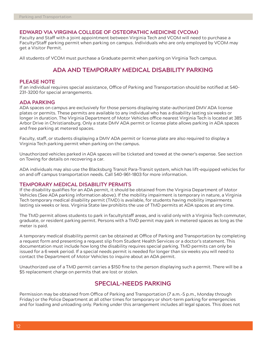#### **EDWARD VIA VIRGINIA COLLEGE OF OSTEOPATHIC MEDICINE (VCOM)**

Faculty and Staff with a joint appointment between Virginia Tech and VCOM will need to purchase a Faculty/Staff parking permit when parking on campus. Individuals who are only employed by VCOM may get a Visitor Permit.

All students of VCOM must purchase a Graduate permit when parking on Virginia Tech campus.

# **ADA AND TEMPORARY MEDICAL DISABILITY PARKING**

#### **PLEASE NOTE**

If an individual requires special assistance, Office of Parking and Transportation should be notified at 540- 231-3200 for special arrangements.

#### **ADA PARKING**

ADA spaces on campus are exclusively for those persons displaying state-authorized DMV ADA license plates or permits. These permits are available to any individual who has a disability lasting six weeks or longer in duration. The Virginia Department of Motor Vehicles office nearest Virginia Tech is located at 385 Arbor Drive in Christiansburg. Only a state DMV ADA permit or license plate allows parking in ADA spaces and free parking at metered spaces.

Faculty, staff, or students displaying a DMV ADA permit or license plate are also required to display a Virginia Tech parking permit when parking on the campus.

Unauthorized vehicles parked in ADA spaces will be ticketed and towed at the owner's expense. See section on Towing for details on recovering a car.

ADA individuals may also use the Blacksburg Transit Para-Transit system, which has lift-equipped vehicles for on and off campus transportation needs. Call 540-961-1803 for more information.

#### **TEMPORARY MEDICAL DISABILITY PERMITS**

If the disability qualifies for an ADA permit, it should be obtained from the Virginia Department of Motor Vehicles (See ADA parking information above). If the mobility impairment is temporary in nature, a Virginia Tech temporary medical disability permit (TMD) is available, for students having mobility impairments lasting six weeks or less. Virginia State law prohibits the use of TMD permits at ADA spaces at any time.

The TMD permit allows students to park in faculty/staff areas, and is valid only with a Virginia Tech commuter, graduate, or resident parking permit. Persons with a TMD permit may park in metered spaces as long as the meter is paid.

A temporary medical disability permit can be obtained at Office of Parking and Transportation by completing a request form and presenting a request slip from Student Health Services or a doctor's statement. This documentation must include how long the disability requires special parking. TMD permits can only be issued for a 6 week period. If a special needs permit is needed for longer than six weeks you will need to contact the Department of Motor Vehicles to inquire about an ADA permit.

Unauthorized use of a TMD permit carries a \$150 fine to the person displaying such a permit. There will be a \$5 replacement charge on permits that are lost or stolen.

# **SPECIAL-NEEDS PARKING**

Permission may be obtained from Office of Parking and Transportation (7 a.m.-5 p.m., Monday through Friday) or the Police Department at all other times for temporary or short-term parking for emergencies and for loading and unloading only. Parking under this arrangement includes all legal spaces. This does not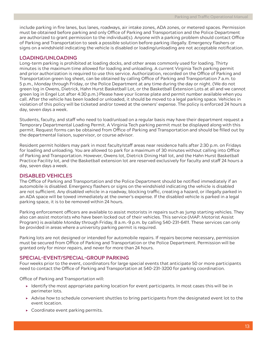include parking in fire lanes, bus lanes, roadways, air intake zones, ADA zones, or metered spaces. Permission must be obtained before parking and only Office of Parking and Transportation and the Police Department are authorized to grant permission to the individual(s). Anyone with a parking problem should contact Office of Parking and Transportation to seek a possible solution before parking illegally. Emergency flashers or signs on a windshield indicating the vehicle is disabled or loading/unloading are not acceptable notification.

## **LOADING/UNLOADING**

Long-term parking is prohibited at loading docks, and other areas commonly used for loading. Thirty minutes is the maximum time allowed for loading and unloading. A current Virginia Tech parking permit and prior authorization is required to use this service. Authorization, recorded on the Office of Parking and Transportation green log sheet, can be obtained by calling Office of Parking and Transportation 7 a.m. to 5 p.m., Monday through Friday, or the Police Department at any time during the day or night. (We do not green log in Owens, Dietrick, Hahn Hurst Basketball Lot, or the Basketball Extension Lots at all and we cannot green log in Engel Lot after 4:30 p.m.) Please have your license plate and permit number available when you call. After the vehicle has been loaded or unloaded, it should be moved to a legal parking space. Vehicles in violation of this policy will be ticketed and/or towed at the owners' expense. The policy is enforced 24 hours a day, seven days a week.

Students, faculty, and staff who need to load/unload on a regular basis may have their department request a Temporary Departmental Loading Permit. A Virginia Tech parking permit must be displayed along with this permit. Request forms can be obtained from Office of Parking and Transportation and should be filled out by the departmental liaison, supervisor, or course advisor.

Resident permit holders may park in most faculty/staff areas near residence halls after 2:30 p.m. on Fridays for loading and unloading. You are allowed to park for a maximum of 30 minutes without calling into Office of Parking and Transportation. However, Owens lot, Dietrick Dining Hall lot, and the Hahn Hurst Basketball Practice Facility lot, and the Basketball extension lot are reserved exclusively for faculty and staff 24 hours a day, seven days a week.

## **DISABLED VEHICLES**

The Office of Parking and Transportation and the Police Department should be notified immediately if an automobile is disabled. Emergency flashers or signs on the windshield indicating the vehicle is disabled are not sufficient. Any disabled vehicle in a roadway, blocking traffic, creating a hazard, or illegally parked in an ADA space will be towed immediately at the owner's expense. If the disabled vehicle is parked in a legal parking space, it is to be removed within 24 hours.

Parking enforcement officers are available to assist motorists in repairs such as jump starting vehicles. They also can assist motorists who have been locked out of their vehicles. This service (MAP: Motorist Assist Program) is available Monday through Friday, 8 a.m.-9 p.m. by calling 540-231-6411. These services can only be provided in areas where a university parking permit is required.

Parking lots are not designed or intended for automobile repairs. If repairs become necessary, permission must be secured from Office of Parking and Transportation or the Police Department. Permission will be granted only for minor repairs, and never for more than 24 hours.

## **SPECIAL-EVENT/SPECIAL-GROUP PARKING**

Four weeks prior to the event, coordinators for large special events that anticipate 50 or more participants need to contact the Office of Parking and Transportation at 540-231-3200 for parking coordination.

Office of Parking and Transportation will:

- $\triangleright$  Identify the most appropriate parking location for event participants. In most cases this will be in perimeter lots.
- Advise how to schedule convenient shuttles to bring participants from the designated event lot to the event location.
- ▶ Coordinate event parking permits.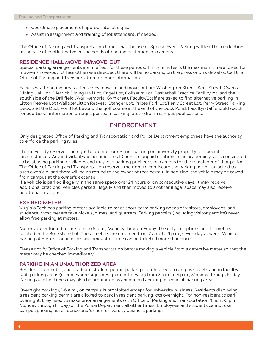- ▶ Coordinate placement of appropriate lot signs.
- Assist in assignment and training of lot attendant, if needed.

The Office of Parking and Transportation hopes that the use of Special Event Parking will lead to a reduction in the rate of conflict between the needs of parking customers on campus.

#### **RESIDENCE HALL MOVE-IN/MOVE-OUT**

Special parking arrangements are in effect for these periods. Thirty minutes is the maximum time allowed for move-in/move-out. Unless otherwise directed, there will be no parking on the grass or on sidewalks. Call the Office of Parking and Transportation for more information.

Faculty/staff parking areas affected by move-in and move-out are Washington Street, Kent Street, Owens Dining Hall Lot, Dietrick Dining Hall Lot, Engel Lot, Coliseum Lot, Basketball Practice Facility lot, and the south side of the Drillfield (War Memorial Gym area). Faculty/Staff are asked to find alternative parking in Litton Reaves Lot (Wallace/Litton Reaves), Stanger Lot, Prices Fork Lot/Perry Street Lot, Perry Street Parking Deck, and the Duck Pond lot beyond the golf course at the end of the Duck Pond. Faculty/staff should watch for additional information on signs posted in parking lots and/or in campus publications.

# **ENFORCEMENT**

Only designated Office of Parking and Transportation and Police Department employees have the authority to enforce the parking rules.

The university reserves the right to prohibit or restrict parking on university property for special circumstances. Any individual who accumulates 10 or more unpaid citations in an academic year is considered to be abusing parking privileges and may lose parking privileges on campus for the remainder of that period. The Office of Parking and Transportation reserves the right to confiscate the parking permit attached to such a vehicle, and there will be no refund to the owner of that permit. In addition, the vehicle may be towed from campus at the owner's expense.

If a vehicle is parked illegally in the same space over 24 hours or on consecutive days, it may receive additional citations. Vehicles parked illegally and then moved to another illegal space may also receive additional citations.

#### **EXPIRED METER**

Virginia Tech has parking meters available to meet short-term parking needs of visitors, employees, and students. Most meters take nickels, dimes, and quarters. Parking permits (including visitor permits) never allow free parking at meters.

Meters are enforced from 7 a.m. to 5 p.m., Monday through Friday. The only exceptions are the meters located in the Bookstore Lot. These meters are enforced from 7 a.m. to 6 p.m., seven days a week. Vehicles parking at meters for an excessive amount of time can be ticketed more than once.

Please notify Office of Parking and Transportation before moving a vehicle from a defective meter so that the meter may be checked immediately.

#### **PARKING IN AN UNAUTHORIZED AREA**

Resident, commuter, and graduate student permit parking is prohibited on campus streets and in faculty/ staff parking areas (except where signs designate otherwise) from 7 a.m. to 5 p.m., Monday through Friday. Parking at other times may also be prohibited as announced and/or posted in all parking areas.

Overnight parking (2-6 a.m.) on campus is prohibited except for university business. Residents displaying a resident parking permit are allowed to park in resident parking lots overnight. For non-resident to park overnight, they need to make prior arrangements with Office of Parking and Transportation (8 a.m.-5 p.m., Monday through Friday) or the Police Department all other times. Employees and students cannot use campus parking as residence and/or non-university business parking.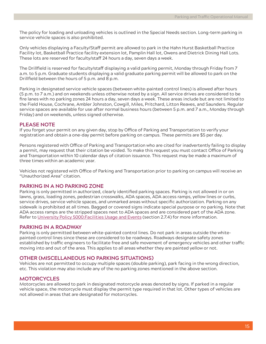The policy for loading and unloading vehicles is outlined in the Special Needs section. Long-term parking in service vehicle spaces is also prohibited.

Only vehicles displaying a Faculty/Staff permit are allowed to park in the Hahn Hurst Basketball Practice Facility lot, Basketball Practice facility extension lot, Pamplin Hall lot, Owens and Dietrick Dining Hall Lots. These lots are reserved for faculty/staff 24 hours a day, seven days a week.

The Drillfield is reserved for faculty/staff displaying a valid parking permit, Monday through Friday from 7 a.m. to 5 p.m. Graduate students displaying a valid graduate parking permit will be allowed to park on the Drillfield between the hours of 5 p.m. and 8 p.m.

Parking in designated service vehicle spaces (between white-painted control lines) is allowed after hours (5 p.m. to 7 a.m.) and on weekends unless otherwise noted by a sign. All service drives are considered to be fire lanes with no parking zones 24 hours a day, seven days a week. These areas include but are not limited to the Field House, Cochrane, Ambler Johnston, Cowgill, Miles, Pritchard, Litton Reaves, and Saunders. Regular service spaces are available for use after normal business hours (between 5 p.m. and 7 a.m., Monday through Friday) and on weekends, unless signed otherwise.

## **PLEASE NOTE**

If you forget your permit on any given day, stop by Office of Parking and Transportation to verify your registration and obtain a one-day permit before parking on campus. These permits are \$5 per day.

Persons registered with Office of Parking and Transportation who are cited for inadvertently failing to display a permit, may request that their citation be voided. To make this request you must contact Office of Parking and Transportation within 10 calendar days of citation issuance. This request may be made a maximum of three times within an academic year.

Vehicles not registered with Office of Parking and Transportation prior to parking on campus will receive an "Unauthorized Area" citation.

## **PARKING IN A NO PARKING ZONE**

Parking is only permitted in authorized, clearly identified parking spaces. Parking is not allowed in or on lawns, grass, loading zones, pedestrian crosswalks, ADA spaces, ADA access ramps, yellow lines or curbs, service drives, service vehicle spaces, and unmarked areas without specific authorization. Parking on any sidewalk is prohibited at all times. Bagged or covered signs indicate special purpose or no parking. Note that ADA access ramps are the stripped spaces next to ADA spaces and are considered part of the ADA zone. Refer to University Policy 5000:Facilities Usage and Events (section 2.7.4) for more information.

## **PARKING IN A ROADWAY**

Parking is only permitted between white-painted control lines. Do not park in areas outside the whitepainted control lines since these are considered to be roadways. Roadways designate safety zones established by traffic engineers to facilitate free and safe movement of emergency vehicles and other traffic moving into and out of the area. This applies to all areas whether they are painted yellow or not.

#### **OTHER (MISCELLANEOUS NO PARKING SITUATIONS)**

Vehicles are not permitted to occupy multiple spaces (double parking), park facing in the wrong direction, etc. This violation may also include any of the no parking zones mentioned in the above section.

## **MOTORCYCLES**

Motorcycles are allowed to park in designated motorcycle areas denoted by signs. If parked in a regular vehicle space, the motorcycle must display the permit type required in that lot. Other types of vehicles are not allowed in areas that are designated for motorcycles.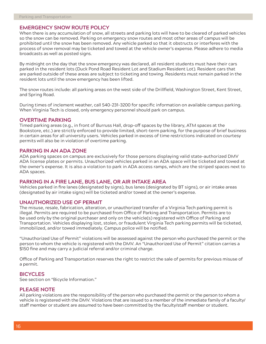#### **EMERGENCY SNOW ROUTE POLICY**

When there is any accumulation of snow, all streets and parking lots will have to be cleared of parked vehicles so the snow can be removed. Parking on emergency snow routes and most other areas of campus will be prohibited until the snow has been removed. Any vehicle parked so that it obstructs or interferes with the process of snow removal may be ticketed and towed at the vehicle owner's expense. Please adhere to media broadcasts as well as posted signs.

By midnight on the day that the snow emergency was declared, all resident students must have their cars parked in the resident lots (Duck Pond Road Resident Lot and Stadium Resident Lot). Resident cars that are parked outside of these areas are subject to ticketing and towing. Residents must remain parked in the resident lots until the snow emergency has been lifted.

The snow routes include: all parking areas on the west side of the Drillfield, Washington Street, Kent Street, and Spring Road.

During times of inclement weather, call 540-231-3200 for specific information on available campus parking. When Virginia Tech is closed, only emergency personnel should park on campus.

#### **OVERTIME PARKING**

Timed parking areas (e.g., in front of Burruss Hall, drop-off spaces by the library, ATM spaces at the Bookstore, etc.) are strictly enforced to provide limited, short-term parking, for the purpose of brief business in certain areas for all university users. Vehicles parked in excess of time restrictions indicated on courtesy permits will also be in violation of overtime parking.

## **PARKING IN AN ADA ZONE**

ADA parking spaces on campus are exclusively for those persons displaying valid state-authorized DMV ADA license plates or permits. Unauthorized vehicles parked in an ADA space will be ticketed and towed at the owner's expense. It is also a violation to park in ADA access ramps, which are the striped spaces next to ADA spaces.

#### **PARKING IN A FIRE LANE, BUS LANE, OR AIR INTAKE AREA**

Vehicles parked in fire lanes (designated by signs), bus lanes (designated by BT signs), or air intake areas (designated by air intake signs) will be ticketed and/or towed at the owner's expense.

#### **UNAUTHORIZED USE OF PERMIT**

The misuse, resale, fabrication, alteration, or unauthorized transfer of a Virginia Tech parking permit is illegal. Permits are required to be purchased from Office of Parking and Transportation. Permits are to be used only by the original purchaser and only on the vehicle(s) registered with Office of Parking and Transportation. Vehicles displaying lost, stolen, or fraudulent Virginia Tech parking permits will be ticketed, immobilized, and/or towed immediately. Campus police will be notified.

"Unauthorized Use of Permit" violations will be assessed against the person who purchased the permit or the person to whom the vehicle is registered with the DMV. An "Unauthorized Use of Permit" citation carries a \$150 fine and may carry a judicial referral and/or criminal charge.

Office of Parking and Transportation reserves the right to restrict the sale of permits for previous misuse of a permit.

#### **BICYCLES**

See section on "Bicycle Information."

#### **PLEASE NOTE**

All parking violations are the responsibility of the person who purchased the permit or the person to whom a vehicle is registered with the DMV. Violations that are issued to a member of the immediate family of a faculty/ staff member or student are assumed to have been committed by the faculty/staff member or student.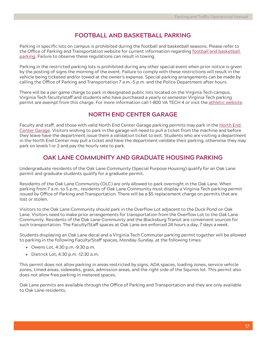# **FOOTBALL AND BASKETBALL PARKING**

Parking in specific lots on campus is prohibited during the football and basketball seasons. Please refer to the Office of Parking and Transportation website for current information regarding football and basketball parking. Failure to observe these regulations can result in towing.

Parking in the restricted parking lots is prohibited during any other special event when prior notice is given by the posting of signs the morning of the event. Failure to comply with these restrictions will result in the vehicle being ticketed and/or towed at the owner's expense. Special parking arrangements can be made by calling the Office of Parking and Transportation 7 a.m.-5 p.m. and the Police Department after hours.

There will be a per game charge to park in designated public lots located on the Virginia Tech campus. Virginia Tech faculty/staff and students who have purchased a yearly or semester Virginia Tech parking permit are exempt from this charge. For more information call 1-800 VA TECH 4 or visit the athletic website.

# **NORTH END CENTER GARAGE**

Faculty and staff, and those with valid North End Center Garage parking permits may park in the North End Center Garage. Visitors wishing to park in the garage will need to pull a ticket from the machine and before they leave have the department issue them a validation ticket to exit. Students who are visiting a department in the North End Center may pull a ticket and have the department validate their parking, otherwise they may park on levels 1 or 2 and pay the hourly rate to park.

# **OAK LANE COMMUNITY AND GRADUATE HOUSING PARKING**

Undergraduate residents of the Oak Lane Community (Special Purpose Housing) qualify for an Oak Lane permit and graduate students qualify for a graduate permit.

Residents of the Oak Lane Community (OLC) are only allowed to park overnight in the Oak Lane. When parking from 7 a.m. to 5 p.m., residents of Oak Lane Community must display a Virginia Tech parking permit issued by Office of Parking and Transportation. There will be a \$5 replacement charge on permits that are lost or stolen.

Visitors to the Oak Lane Community should park in the Overflow Lot adjacent to the Duck Pond on Oak Lane. Visitors need to make prior arrangements for transportation from the Overflow Lot to the Oak Lane Community. Residents of the Oak Lane Community and the Blacksburg Transit are convenient sources for such transportation. The Faculty/Staff spaces at Oak Lane are enforced 24 hours a day, 7 days a week.

Students displaying an Oak Lane decal and a Virginia Tech Commuter parking permit together will be allowed to parking in the following Faculty/Staff spaces, Monday–Sunday, at the following times:

- $\triangleright$  Owens Lot, 4:30 p.m. -9:30 p.m.
- $\triangleright$  Dietrick Lot, 4:30 p.m. -12:30 a.m.

This permit does not allow parking in areas restricted by signs, ADA spaces, loading zones, service vehicle zones, timed areas, sidewalks, grass, admission areas, and the right side of the Squires lot. This permit also does not allow free parking in metered spaces.

Oak Lane permits are available through the Office of Parking and Transportation and they are only available to Oak Lane residents.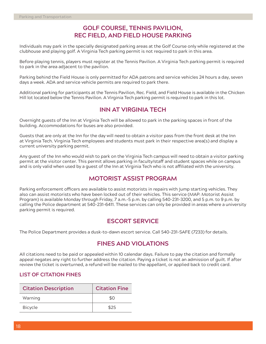# **GOLF COURSE, TENNIS PAVILION, REC FIELD, AND FIELD HOUSE PARKING**

Individuals may park in the specially designated parking areas at the Golf Course only while registered at the clubhouse and playing golf. A Virginia Tech parking permit is not required to park in this area.

Before playing tennis, players must register at the Tennis Pavilion. A Virginia Tech parking permit is required to park in the area adjacent to the pavilion.

Parking behind the Field House is only permitted for ADA patrons and service vehicles 24 hours a day, seven days a week. ADA and service vehicle permits are required to park there.

Additional parking for participants at the Tennis Pavilion, Rec. Field, and Field House is available in the Chicken Hill lot located below the Tennis Pavilion. A Virginia Tech parking permit is required to park in this lot.

# **INN AT VIRGINIA TECH**

Overnight guests of the Inn at Virginia Tech will be allowed to park in the parking spaces in front of the building. Accommodations for buses are also provided.

Guests that are only at the Inn for the day will need to obtain a visitor pass from the front desk at the Inn at Virginia Tech. Virginia Tech employees and students must park in their respective area(s) and display a current university parking permit.

Any guest of the Inn who would wish to park on the Virginia Tech campus will need to obtain a visitor parking permit at the visitor center. This permit allows parking in faculty/staff and student spaces while on campus and is only valid when used by a guest of the Inn at Virginia Tech who is not affiliated with the university.

# **MOTORIST ASSIST PROGRAM**

Parking enforcement officers are available to assist motorists in repairs with jump starting vehicles. They also can assist motorists who have been locked out of their vehicles. This service (MAP: Motorist Assist Program) is available Monday through Friday, 7 a.m.-5 p.m. by calling 540-231-3200, and 5 p.m. to 9 p.m. by calling the Police department at 540-231-6411. These services can only be provided in areas where a university parking permit is required.

# **ESCORT SERVICE**

The Police Department provides a dusk-to-dawn escort service. Call 540-231-SAFE (7233) for details.

# **FINES AND VIOLATIONS**

All citations need to be paid or appealed within 10 calendar days. Failure to pay the citation and formally appeal negates any right to further address the citation. Paying a ticket is not an admission of guilt. If after review the ticket is overturned, a refund will be mailed to the appellant, or applied back to credit card.

## **LIST OF CITATION FINES**

| <b>Citation Description</b> | <b>Citation Fine</b> |
|-----------------------------|----------------------|
| Warning                     | \$0                  |
| <b>Bicycle</b>              | \$25                 |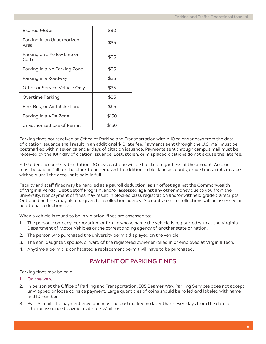| <b>Expired Meter</b>                | \$30  |
|-------------------------------------|-------|
| Parking in an Unauthorized<br>Area  | \$35  |
| Parking on a Yellow Line or<br>Curb | \$35  |
| Parking in a No Parking Zone        | \$35  |
| Parking in a Roadway                | \$35  |
| Other or Service Vehicle Only       | \$35  |
| Overtime Parking                    | \$35  |
| Fire, Bus, or Air Intake Lane       | \$65  |
| Parking in a ADA Zone               | \$150 |
| Unauthorized Use of Permit          | \$150 |
|                                     |       |

Parking fines not received at Office of Parking and Transportation within 10 calendar days from the date of citation issuance shall result in an additional \$10 late fee. Payments sent through the U.S. mail must be postmarked within seven calendar days of citation issuance. Payments sent through campus mail must be received by the 10th day of citation issuance. Lost, stolen, or misplaced citations do not excuse the late fee.

All student accounts with citations 10 days past due will be blocked regardless of the amount. Accounts must be paid in full for the block to be removed. In addition to blocking accounts, grade transcripts may be withheld until the account is paid in full.

Faculty and staff fines may be handled as a payroll deduction, as an offset against the Commonwealth of Virginia Vendor Debt Setoff Program, and/or assessed against any other money due to you from the university. Nonpayment of fines may result in blocked class registration and/or withheld grade transcripts. Outstanding fines may also be given to a collection agency. Accounts sent to collections will be assessed an additional collection cost.

When a vehicle is found to be in violation, fines are assessed to:

- 1. The person, company, corporation, or firm in whose name the vehicle is registered with at the Virginia Department of Motor Vehicles or the corresponding agency of another state or nation.
- 2. The person who purchased the university permit displayed on the vehicle.
- 3. The son, daughter, spouse, or ward of the registered owner enrolled in or employed at Virginia Tech.
- 4. Anytime a permit is confiscated a replacement permit will have to be purchased.

# **PAYMENT OF PARKING FINES**

Parking fines may be paid:

- 1. On the web.
- 2. In person at the Office of Parking and Transportation, 505 Beamer Way. Parking Services does not accept unwrapped or loose coins as payment. Large quantities of coins should be rolled and labeled with name and ID number.
- 3. By U.S. mail. The payment envelope must be postmarked no later than seven days from the date of citation issuance to avoid a late fee. Mail to: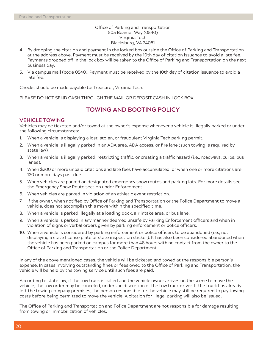#### Office of Parking and Transportation 505 Beamer Way (0540) Virginia Tech Blacksburg, VA 24061

- 4. By dropping the citation and payment in the locked box outside the Office of Parking and Transportation at the address above. Payment must be received by the 10th day of citation issuance to avoid a late fee. Payments dropped off in the lock box will be taken to the Office of Parking and Transportation on the next business day.
- 5. Via campus mail (code 0540). Payment must be received by the 10th day of citation issuance to avoid a late fee.

Checks should be made payable to: Treasurer, Virginia Tech.

PLEASE DO NOT SEND CASH THROUGH THE MAIL OR DEPOSIT CASH IN LOCK BOX.

# **TOWING AND BOOTING POLICY**

## **VEHICLE TOWING**

Vehicles may be ticketed and/or towed at the owner's expense whenever a vehicle is illegally parked or under the following circumstances:

- 1. When a vehicle is displaying a lost, stolen, or fraudulent Virginia Tech parking permit.
- 2. When a vehicle is illegally parked in an ADA area, ADA access, or fire lane (such towing is required by state law).
- 3. When a vehicle is illegally parked, restricting traffic, or creating a traffic hazard (i.e., roadways, curbs, bus lanes).
- 4. When \$200 or more unpaid citations and late fees have accumulated, or when one or more citations are 120 or more days past due.
- 5. When vehicles are parked on designated emergency snow routes and parking lots. For more details see the Emergency Snow Route section under Enforcement.
- 6. When vehicles are parked in violation of an athletic event restriction.
- 7. If the owner, when notified by Office of Parking and Transportation or the Police Department to move a vehicle, does not accomplish this move within the specified time.
- 8. When a vehicle is parked illegally at a loading dock, air intake area, or bus lane.
- 9. When a vehicle is parked in any manner deemed unsafe by Parking Enforcement officers and when in violation of signs or verbal orders given by parking enforcement or police officers.
- 10. When a vehicle is considered by parking enforcement or police officers to be abandoned (i.e., not displaying a state license plate or state inspection sticker). It has also been considered abandoned when the vehicle has been parked on campus for more than 48 hours with no contact from the owner to the Office of Parking and Transportation or the Police Department.

In any of the above mentioned cases, the vehicle will be ticketed and towed at the responsible person's expense. In cases involving outstanding fines or fees owed to the Office of Parking and Transportation, the vehicle will be held by the towing service until such fees are paid.

According to state law, if the tow truck is called and the vehicle owner arrives on the scene to move the vehicle, the tow order may be canceled, under the discretion of the tow truck driver. If the truck has already left the towing company premises, the person responsible for the vehicle may still be required to pay towing costs before being permitted to move the vehicle. A citation for illegal parking will also be issued.

The Office of Parking and Transportation and Police Department are not responsible for damage resulting from towing or immobilization of vehicles.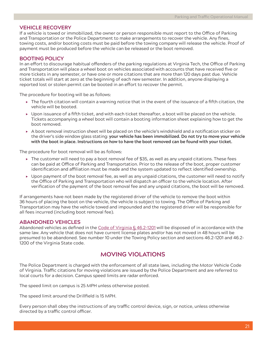#### **VEHICLE RECOVERY**

If a vehicle is towed or immobilized, the owner or person responsible must report to the Office of Parking and Transportation or the Police Department to make arrangements to recover the vehicle. Any fines, towing costs, and/or booting costs must be paid before the towing company will release the vehicle. Proof of payment must be produced before the vehicle can be released or the boot removed.

## **BOOTING POLICY**

In an effort to discourage habitual offenders of the parking regulations at Virginia Tech, the Office of Parking and Transportation will place a wheel boot on vehicles associated with accounts that have received five or more tickets in any semester, or have one or more citations that are more than 120 days past due. Vehicle ticket totals will start at zero at the beginning of each new semester. In addition, anyone displaying a reported lost or stolen permit can be booted in an effort to recover the permit.

The procedure for booting will be as follows:

- $\triangleright$  The fourth citation will contain a warning notice that in the event of the issuance of a fifth citation, the vehicle will be booted.
- $\triangleright$  Upon issuance of a fifth ticket, and with each ticket thereafter, a boot will be placed on the vehicle. Tickets accompanying a wheel boot will contain a booting information sheet explaining how to get the boot removed.
- A boot removal instruction sheet will be placed on the vehicle's windshield and a notification sticker on the driver's side window glass stating: **your vehicle has been immobilized. Do not try to move your vehicle with the boot in place. Instructions on how to have the boot removed can be found with your ticket.**

The procedure for boot removal will be as follows:

- $\triangleright$  The customer will need to pay a boot removal fee of \$35, as well as any unpaid citations. These fees can be paid at Office of Parking and Transportation. Prior to the release of the boot, proper customer identification and affiliation must be made and the system updated to reflect identified ownership.
- $\triangleright$  Upon payment of the boot removal fee, as well as any unpaid citations, the customer will need to notify the Office of Parking and Transportation who will dispatch an officer to the vehicle location. After verification of the payment of the boot removal fee and any unpaid citations, the boot will be removed.

If arrangements have not been made by the registered driver of the vehicle to remove the boot within 36 hours of placing the boot on the vehicle, the vehicle is subject to towing. The Office of Parking and Transportation may have the vehicle towed and impounded and the registered driver will be responsible for all fees incurred (including boot removal fee).

#### **ABANDONED VEHICLES**

Abandoned vehicles as defined in the Code of Virginia § 46.2-1201 will be disposed of in accordance with the same law. Any vehicle that does not have current license plates and/or has not moved in 48 hours will be presumed to be abandoned. See number 10 under the Towing Policy section and sections 46.2-1201 and 46.2- 1200 of the Virginia State code.

# **MOVING VIOLATIONS**

The Police Department is charged with the enforcement of all state laws, including the Motor Vehicle Code of Virginia. Traffic citations for moving violations are issued by the Police Department and are referred to local courts for a decision. Campus speed limits are radar enforced.

The speed limit on campus is 25 MPH unless otherwise posted.

The speed limit around the Drillfield is 15 MPH.

Every person shall obey the instructions of any traffic control device, sign, or notice, unless otherwise directed by a traffic control officer.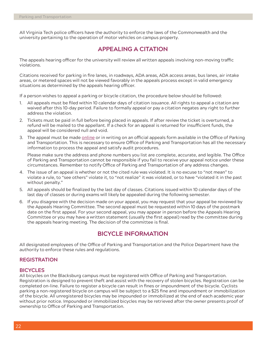All Virginia Tech police officers have the authority to enforce the laws of the Commonwealth and the university pertaining to the operation of motor vehicles on campus property.

# **APPEALING A CITATION**

The appeals hearing officer for the university will review all written appeals involving non-moving traffic violations.

Citations received for parking in fire lanes, in roadways, ADA areas, ADA access areas, bus lanes, air intake areas, or metered spaces will not be viewed favorably in the appeals process except in valid emergency situations as determined by the appeals hearing officer.

If a person wishes to appeal a parking or bicycle citation, the procedure below should be followed:

- 1. All appeals must be filed within 10 calendar days of citation issuance. All rights to appeal a citation are waived after this 10-day period. Failure to formally appeal or pay a citation negates any right to further address the violation.
- 2. Tickets must be paid in full before being placed in appeals. If after review the ticket is overturned, a refund will be mailed to the appellant. If a check for an appeal is returned for insufficient funds, the appeal will be considered null and void.
- 3. The appeal must be made online or in writing on an official appeals form available in the Office of Parking and Transportation. This is necessary to ensure Office of Parking and Transportation has all the necessary information to process the appeal and satisfy audit procedures.

Please make sure the address and phone numbers you list are complete, accurate, and legible. The Office of Parking and Transportation cannot be responsible if you fail to receive your appeal notice under these circumstances. Remember to notify Office of Parking and Transportation of any address changes.

- 4. The issue of an appeal is whether or not the cited rule was violated. It is no excuse to "not mean" to violate a rule, to "see others" violate it, to "not realize" it was violated, or to have "violated it in the past without penalty."
- 5. All appeals should be finalized by the last day of classes. Citations issued within 10 calendar days of the last day of classes or during exams will likely be appealed during the following semester.
- 6. If you disagree with the decision made on your appeal, you may request that your appeal be reviewed by the Appeals Hearing Committee. The second appeal must be requested within 10 days of the postmark date on the first appeal. For your second appeal, you may appear in person before the Appeals Hearing Committee or you may have a written statement (usually the first appeal) read by the committee during the appeals hearing meeting. The decision of the committee is final.

# **BICYCLE INFORMATION**

All designated employees of the Office of Parking and Transportation and the Police Department have the authority to enforce these rules and regulations.

## **REGISTRATION**

#### **BICYCLES**

All bicycles on the Blacksburg campus must be registered with Office of Parking and Transportation. Registration is designed to prevent theft and assist with the recovery of stolen bicycles. Registration can be completed on-line. Failure to register a bicycle can result in fines or impoundment of the bicycle. Cyclists parking a non-registered bicycle on campus will be subject to a \$25 fine and impoundment or immobilization of the bicycle. All unregistered bicycles may be impounded or immobilized at the end of each academic year without prior notice. Impounded or immobilized bicycles may be retrieved after the owner presents proof of ownership to Office of Parking and Transportation.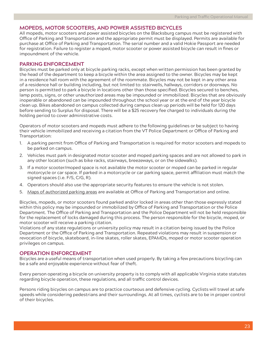## **MOPEDS, MOTOR SCOOTERS, AND POWER ASSISTED BICYCLES**

All mopeds, motor scooters and power assisted bicycles on the Blacksburg campus must be registered with Office of Parking and Transportation and the appropriate permit must be displayed. Permits are available for purchase at Office of Parking and Transportation. The serial number and a valid Hokie Passport are needed for registration. Failure to register a moped, motor scooter or power assisted bicycle can result in fines or impoundment of the vehicle.

#### **PARKING ENFORCEMENT**

Bicycles must be parked only at bicycle parking racks, except when written permission has been granted by the head of the department to keep a bicycle within the area assigned to the owner. Bicycles may be kept in a residence hall room with the agreement of the roommate. Bicycles may not be kept in any other area of a residence hall or building including, but not limited to: stairwells, hallways, corridors or doorways. No person is permitted to park a bicycle in locations other than those specified. Bicycles secured to benches, lamp posts, signs, or other unauthorized areas may be impounded or immobilized. Bicycles that are obviously inoperable or abandoned can be impounded throughout the school year or at the end of the year bicycle clean up. Bikes abandoned on campus collected during campus clean up periods will be held for 120 days before sending to Surplus for disposal. There will be a \$25 recovery fee charged to individuals during the holding period to cover administrative costs.

Operators of motor scooters and mopeds must adhere to the following guidelines or be subject to having their vehicle immobilized and receiving a citation from the VT Police Department or Office of Parking and Transportation:

- 1. A parking permit from Office of Parking and Transportation is required for motor scooters and mopeds to be parked on campus.
- 2. Vehicles must park in designated motor scooter and moped parking spaces and are not allowed to park in any other location (such as bike racks, stairways, breezeways, or on the sidewalks).
- 3. If a motor scooter/moped space is not available the motor scooter or moped can be parked in regular motorcycle or car space. If parked in a motorcycle or car parking space, permit affiliation must match the signed spaces (i.e. F/S, C/G, R).
- 4. Operators should also use the appropriate security features to ensure the vehicle is not stolen.
- 5. Maps of authorized parking areas are available at Office of Parking and Transportation and online.

Bicycles, mopeds, or motor scooters found parked and/or locked in areas other than those expressly stated within this policy may be impounded or immobilized by Office of Parking and Transportation or the Police Department. The Office of Parking and Transportation and the Police Department will not be held responsible for the replacement of locks damaged during this process. The person responsible for the bicycle, moped, or motor scooter will receive a parking citation.

Violations of any state regulations or university policy may result in a citation being issued by the Police Department or the Office of Parking and Transportation. Repeated violations may result in suspension or revocation of bicycle, skateboard, in-line skates, roller skates, EPAMDs, moped or motor scooter operation privileges on campus.

## **OPERATION ENFORCEMENT**

Bicycles are a useful means of transportation when used properly. By taking a few precautions bicycling can be a safe and enjoyable experience without fear of theft.

Every person operating a bicycle on university property is to comply with all applicable Virginia state statutes regarding bicycle operation, these regulations, and all traffic control devices.

Persons riding bicycles on campus are to practice courteous and defensive cycling. Cyclists will travel at safe speeds while considering pedestrians and their surroundings. At all times, cyclists are to be in proper control of their bicycles.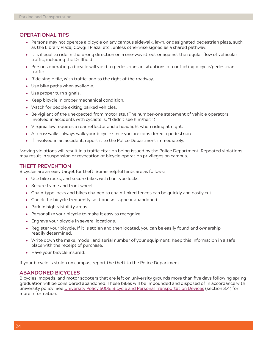## **OPERATIONAL TIPS**

- Persons may not operate a bicycle on any campus sidewalk, lawn, or designated pedestrian plaza, such as the Library Plaza, Cowgill Plaza, etc., unless otherwise signed as a shared pathway.
- $\blacktriangleright$  It is illegal to ride in the wrong direction on a one-way street or against the regular flow of vehicular traffic, including the Drillfield.
- Persons operating a bicycle will yield to pedestrians in situations of conflicting bicycle/pedestrian traffic.
- $\triangleright$  Ride single file, with traffic, and to the right of the roadway.
- Use bike paths when available.
- Use proper turn signals.
- $\triangleright$  Keep bicycle in proper mechanical condition.
- Watch for people exiting parked vehicles.
- $\triangleright$  Be vigilant of the unexpected from motorists. (The number-one statement of vehicle operators involved in accidents with cyclists is, "I didn't see him/her!")
- Virginia law requires a rear reflector and a headlight when riding at night.
- At crosswalks, always walk your bicycle since you are considered a pedestrian.
- $\blacktriangleright$  If involved in an accident, report it to the Police Department immediately.

Moving violations will result in a traffic citation being issued by the Police Department. Repeated violations may result in suspension or revocation of bicycle operation privileges on campus.

#### **THEFT PREVENTION**

Bicycles are an easy target for theft. Some helpful hints are as follows:

- Use bike racks, and secure bikes with bar-type locks.
- Secure frame and front wheel.
- Chain-type locks and bikes chained to chain-linked fences can be quickly and easily cut.
- Check the bicycle frequently so it doesn't appear abandoned.
- $\blacktriangleright$  Park in high-visibility areas.
- ▶ Personalize your bicycle to make it easy to recognize.
- Engrave your bicycle in several locations.
- $\triangleright$  Register your bicycle. If it is stolen and then located, you can be easily found and ownership readily determined.
- Write down the make, model, and serial number of your equipment. Keep this information in a safe place with the receipt of purchase.
- Have your bicycle insured.

If your bicycle is stolen on campus, report the theft to the Police Department.

#### **ABANDONED BICYCLES**

Bicycles, mopeds, and motor scooters that are left on university grounds more than five days following spring graduation will be considered abandoned. These bikes will be impounded and disposed of in accordance with university policy. See University Policy 5005: Bicycle and Personal Transportation Devices (section 3.4) for more information.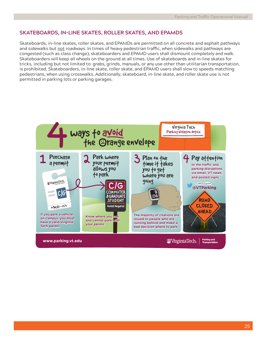## **SKATEBOARDS, IN-LINE SKATES, ROLLER SKATES, AND EPAMDS**

Skateboards, in-line skates, roller skates, and EPAMDs are permitted on all concrete and asphalt pathways and sidewalks but not roadways. In times of heavy pedestrian traffic, when sidewalks and pathways are congested (such as class change), skateboarders and EPAMD users shall dismount completely and walk. Skateboarders will keep all wheels on the ground at all times. Use of skateboards and in-line skates for tricks, including but not limited to: grabs, grinds, manuals, or any use other than utilitarian transportation, is prohibited. Skateboarders, in-line skate, roller skate, and EPAMD users shall slow to speeds matching pedestrians, when using crosswalks. Additionally, skateboard, in-line skate, and roller skate use is not permitted in parking lots or parking garages.

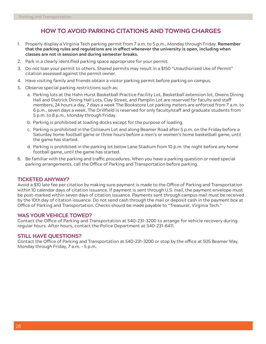# **HOW TO AVOID PARKING CITATIONS AND TOWING CHARGES**

- 1. Properly display a Virginia Tech parking permit from 7 a.m. to 5 p.m., Monday through Friday. **Remember that the parking rules and regulations are in effect whenever the university is open, including when classes are not in session and during semester breaks.**
- 2. Park in a clearly identified parking space appropriate for your permit.
- 3. Do not loan your permit to others. Shared permits may result in a \$150 "Unauthorized Use of Permit" citation assessed against the permit owner.
- 4. Have visiting family and friends obtain a visitor parking permit before parking on campus.
- 5. Observe special parking restrictions such as:
	- a. Parking lots at the Hahn Hurst Basketball Practice Facility Lot, Basketball extension lot, Owens Dining Hall and Dietrick Dining Hall Lots, Clay Street, and Pamplin Lot are reserved for faculty and staff members, 24 hours a day, 7 days a week The Bookstore Lot parking meters are enforced from 7 a.m. to 6 p.m., seven days a week. The Drillfield is reserved for only faculty/staff and graduate students from 5 p.m. to 8 p.m., Monday through Friday.
	- b. Parking is prohibited at loading docks except for the purpose of loading.
	- c. Parking is prohibited in the Coliseum Lot and along Beamer Road after 5 p.m. on the Friday before a Saturday home football game or three hours before a men's or women's home basketball game, until the game has started.
	- d. Parking is prohibited in the parking lot below Lane Stadium from 10 p.m. the night before any home football game, until the game has started.
- 6. Be familiar with the parking and traffic procedures. When you have a parking question or need special parking arrangements, call the Office of Parking and Transportation before parking.

## **TICKETED ANYWAY?**

Avoid a \$10 late fee per citation by making sure payment is made to the Office of Parking and Transportation within 10 calendar days of citation issuance. If payment is sent through U.S. mail, the payment envelope must be post-marked within seven days of citation issuance. Payments sent through campus mail must be received by the 10th day of citation issuance. Do not send cash through the mail or deposit cash in the payment box at Office of Parking and Transportation. Checks should be made payable to "Treasurer, Virginia Tech."

#### **WAS YOUR VEHICLE TOWED?**

Contact the Office of Parking and Transportation at 540-231-3200 to arrange for vehicle recovery during regular hours. After hours, contact the Police Department at 540-231-6411.

#### **STILL HAVE QUESTIONS?**

Contact the Office of Parking and Transportation at 540-231-3200 or stop by the office at 505 Beamer Way, Monday through Friday, 7 a.m. - 5 p.m.